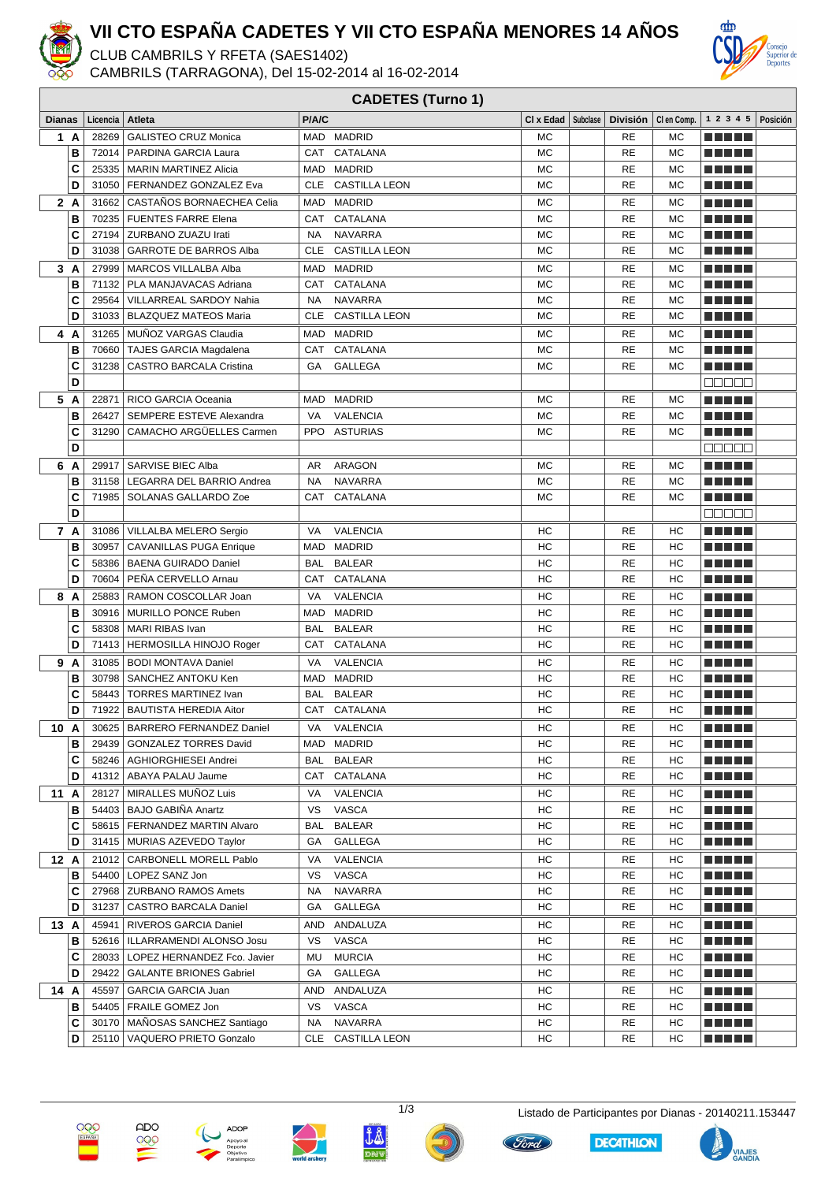

## **VII CTO ESPAÑA CADETES Y VII CTO ESPAÑA MENORES 14 AÑOS**

CLUB CAMBRILS Y RFETA (SAES1402)

CAMBRILS (TARRAGONA), Del 15-02-2014 al 16-02-2014



|               | <b>CADETES (Turno 1)</b> |          |                                                                       |            |                          |           |  |                                               |           |                                       |          |
|---------------|--------------------------|----------|-----------------------------------------------------------------------|------------|--------------------------|-----------|--|-----------------------------------------------|-----------|---------------------------------------|----------|
| <b>Dianas</b> |                          | Licencia | Atleta                                                                | P/A/C      |                          |           |  | CI x Edad   Subclase   División   CI en Comp. |           | 1 2 3 4 5                             | Posición |
|               | 1 A                      | 28269    | <b>GALISTEO CRUZ Monica</b>                                           |            | MAD MADRID               | <b>MC</b> |  | <b>RE</b>                                     | MC        | n di Titolo                           |          |
|               | в                        | 72014    | <b>PARDINA GARCIA Laura</b>                                           | <b>CAT</b> | CATALANA                 | <b>MC</b> |  | <b>RE</b>                                     | <b>MC</b> |                                       |          |
|               | C                        | 25335    | <b>MARIN MARTINEZ Alicia</b>                                          | MAD        | <b>MADRID</b>            | <b>MC</b> |  | <b>RE</b>                                     | МC        | ma matsa                              |          |
|               | D                        | 31050    | FERNANDEZ GONZALEZ Eva                                                | CLE        | <b>CASTILLA LEON</b>     | <b>MC</b> |  | <b>RE</b>                                     | МC        | n din Film                            |          |
|               | 2 A                      | 31662    | CASTAÑOS BORNAECHEA Celia                                             | MAD        | <b>MADRID</b>            | MC        |  | RE                                            | МC        | ma matsa                              |          |
|               | B                        | 70235    | <b>FUENTES FARRE Elena</b>                                            | CAT        | CATALANA                 | <b>MC</b> |  | <b>RE</b>                                     | MC        | ma matsa                              |          |
|               | C                        | 27194    | ZURBANO ZUAZU Irati                                                   | <b>NA</b>  | <b>NAVARRA</b>           | MC        |  | <b>RE</b>                                     | <b>MC</b> | n Ali De                              |          |
|               | D                        | 31038    | <b>GARROTE DE BARROS Alba</b>                                         | CLE        | <b>CASTILLA LEON</b>     | <b>MC</b> |  | RE                                            | <b>MC</b> | T A FI PL                             |          |
|               | 3A                       | 27999    | <b>MARCOS VILLALBA Alba</b>                                           |            | MAD MADRID               | <b>MC</b> |  | <b>RE</b>                                     | МC        |                                       |          |
|               | В                        | 71132    | PLA MANJAVACAS Adriana                                                | <b>CAT</b> | CATALANA                 | <b>MC</b> |  | <b>RE</b>                                     | <b>MC</b> | N N N N N                             |          |
|               | C                        | 29564    | VILLARREAL SARDOY Nahia                                               | <b>NA</b>  | <b>NAVARRA</b>           | <b>MC</b> |  | <b>RE</b>                                     | MC        | TI TITLE                              |          |
|               | D                        | 31033    | <b>BLAZQUEZ MATEOS Maria</b>                                          | <b>CLE</b> | <b>CASTILLA LEON</b>     | MC        |  | <b>RE</b>                                     | МC        | n din ka                              |          |
|               | 4 A                      | 31265    | MUÑOZ VARGAS Claudia                                                  | MAD        | <b>MADRID</b>            | МC        |  | <b>RE</b>                                     | МC        | ma matsa                              |          |
|               | В                        | 70660    | <b>TAJES GARCIA Magdalena</b>                                         | CAT        | CATALANA                 | MC        |  | <b>RE</b>                                     | <b>MC</b> | MA METAL                              |          |
|               | C                        | 31238    | <b>CASTRO BARCALA Cristina</b>                                        | GA         | <b>GALLEGA</b>           | <b>MC</b> |  | <b>RE</b>                                     | <b>MC</b> | n din bir                             |          |
|               | D                        |          |                                                                       |            |                          |           |  |                                               |           | 88888                                 |          |
| 5             | A                        | 22871    | RICO GARCIA Oceania                                                   | <b>MAD</b> | <b>MADRID</b>            | <b>MC</b> |  | <b>RE</b>                                     | <b>MC</b> | ma matsa                              |          |
|               | В                        | 26427    | SEMPERE ESTEVE Alexandra                                              | VA         | <b>VALENCIA</b>          | <b>MC</b> |  | <b>RE</b>                                     | <b>MC</b> | N N D D U                             |          |
|               | C                        | 31290    | CAMACHO ARGÜELLES Carmen                                              | <b>PPO</b> | <b>ASTURIAS</b>          | MC        |  | <b>RE</b>                                     | <b>MC</b> | TI TITLE                              |          |
|               | D                        |          |                                                                       |            |                          |           |  |                                               |           | 88888                                 |          |
| 6             | A                        | 29917    | SARVISE BIEC Alba                                                     | AR         | <b>ARAGON</b>            | МC        |  | RE                                            | <b>MC</b> | MA METAL                              |          |
|               | B                        | 31158    | LEGARRA DEL BARRIO Andrea                                             | <b>NA</b>  | <b>NAVARRA</b>           | <b>MC</b> |  | <b>RE</b>                                     | <b>MC</b> | MA MUL                                |          |
|               | C                        | 71985    | SOLANAS GALLARDO Zoe                                                  | CAT        | CATALANA                 | MC        |  | <b>RE</b>                                     | МC        | n din ka                              |          |
|               | D                        |          |                                                                       |            |                          |           |  |                                               |           | eesee                                 |          |
|               | 7 A                      | 31086    | VILLALBA MELERO Sergio                                                | VA         | <b>VALENCIA</b>          | НC        |  | RE                                            | НC        | MA MUL                                |          |
|               | В                        | 30957    | <b>CAVANILLAS PUGA Enrique</b>                                        | MAD        | <b>MADRID</b>            | HC        |  | <b>RE</b>                                     | HC        | MA MD L                               |          |
|               | C                        | 58386    | <b>BAENA GUIRADO Daniel</b>                                           | BAL        | <b>BALEAR</b>            | HC        |  | <b>RE</b>                                     | HC        | n Ange                                |          |
|               | D                        | 70604    | PEÑA CERVELLO Arnau                                                   | <b>CAT</b> | CATALANA                 | HC        |  | RE                                            | HC        | n Ali He                              |          |
|               | 8 A                      | 25883    | RAMON COSCOLLAR Joan                                                  | VA         | <b>VALENCIA</b>          | HC        |  | RE                                            | HC        |                                       |          |
|               | В                        | 30916    | <b>MURILLO PONCE Ruben</b>                                            | MAD        | <b>MADRID</b>            | HC        |  | <b>RE</b>                                     | HC        | TITI TILL                             |          |
|               | C                        | 58308    | MARI RIBAS Ivan                                                       | BAL        | <b>BALEAR</b>            | HC        |  | <b>RE</b>                                     | HC        | MA MUL                                |          |
|               | D                        | 71413    | HERMOSILLA HINOJO Roger                                               | CAT        | CATALANA                 | HC        |  | <b>RE</b>                                     | HC        | n din ka                              |          |
|               | 9 A                      | 31085    | <b>BODI MONTAVA Daniel</b>                                            | VA         | <b>VALENCIA</b>          | НC        |  | <b>RE</b>                                     | НC        | ma matsa                              |          |
|               | B                        | 30798    | SANCHEZ ANTOKU Ken                                                    |            | MAD MADRID               | HC        |  | <b>RE</b>                                     | HC        | n din bir                             |          |
|               | C                        | 58443    | <b>TORRES MARTINEZ Ivan</b>                                           | <b>BAL</b> | <b>BALEAR</b>            | HC        |  | RE                                            | НC        | ma matsa                              |          |
|               | D                        | 71922    | <b>BAUTISTA HEREDIA Aitor</b>                                         |            | CAT CATALANA             | HC        |  | <b>RE</b>                                     | HC        | n din ka                              |          |
|               | 10 A                     |          | 30625   BARRERO FERNANDEZ Daniel                                      | VA         | VALENCIA                 | HС        |  | RE                                            | HС        | <u> E E E E E</u>                     |          |
|               | в                        | 29439    | <b>GONZALEZ TORRES David</b>                                          |            | MAD MADRID               | HC        |  | RE                                            | HС        | <u> La Barta</u>                      |          |
|               | C                        |          | 58246   AGHIORGHIESEI Andrei                                          |            | BAL BALEAR               | HC        |  | RE                                            | HС        | <u> Literatur</u>                     |          |
|               | D                        |          | 41312   ABAYA PALAU Jaume                                             |            | CAT CATALANA             | HC        |  | RE                                            | HС        | <u> Literatur</u>                     |          |
| 11A           |                          | 28127    | MIRALLES MUNOZ Luis                                                   | VA         | <b>VALENCIA</b>          | HС        |  | RE                                            | HС        | <u> Literatur</u>                     |          |
|               | в                        |          | 54403   BAJO GABIÑA Anartz                                            | vs         | <b>VASCA</b>             | HС        |  | RE                                            | НC        | <u> El Bertin</u>                     |          |
|               | С<br>D                   |          | 58615   FERNANDEZ MARTIN Alvaro                                       | BAL        | <b>BALEAR</b>            | HС<br>HС  |  | RE<br>RE                                      | HС        | <u> Literatur</u>                     |          |
|               |                          |          | 31415   MURIAS AZEVEDO Taylor                                         | GA         | GALLEGA                  |           |  |                                               | HС        | MA HIL                                |          |
| 12 A          |                          | 21012    | CARBONELL MORELL Pablo                                                | VA         | <b>VALENCIA</b>          | HС        |  | RE                                            | HС        | <u> 2008 - 200</u>                    |          |
|               | в                        |          | 54400   LOPEZ SANZ Jon                                                | vs         | VASCA                    | HС        |  | RE                                            | HС        | <u> Literatur</u>                     |          |
|               | C<br>D                   | 31237    | 27968   ZURBANO RAMOS Amets                                           | NA<br>GА   | <b>NAVARRA</b>           | HC<br>НC  |  | RE<br>RE                                      | HС        | <u> Literatur</u>                     |          |
|               |                          |          | CASTRO BARCALA Daniel                                                 |            | GALLEGA                  |           |  |                                               | HС        | M E H H                               |          |
| 13 A          |                          | 45941    | RIVEROS GARCIA Daniel                                                 |            | AND ANDALUZA             | HС        |  | RE                                            | HС        | <u> Literatur</u>                     |          |
|               | в                        |          | 52616   ILLARRAMENDI ALONSO Josu                                      | VS         | VASCA                    | HC        |  | RE<br>RE                                      | HC        | N E HELL                              |          |
|               | С<br>D                   | 29422    | 28033   LOPEZ HERNANDEZ Fco. Javier<br><b>GALANTE BRIONES Gabriel</b> | MU<br>GA   | <b>MURCIA</b><br>GALLEGA | HС<br>НC  |  | RE                                            | HС<br>НC  | <u> La Barta</u><br><u> Literatur</u> |          |
|               |                          |          |                                                                       |            |                          |           |  |                                               |           |                                       |          |
| 14 A          |                          |          | 45597   GARCIA GARCIA Juan                                            |            | AND ANDALUZA             | НC        |  | RE                                            | HС        | <u> Literatur</u>                     |          |
|               | в<br>С                   |          | 54405   FRAILE GOMEZ Jon<br>30170   MAÑOSAS SANCHEZ Santiago          | VS<br>NA.  | VASCA<br>NAVARRA         | HC<br>HC  |  | RE<br>RE                                      | HС<br>HС  | <u> La Barta</u>                      |          |
|               | D                        |          | 25110   VAQUERO PRIETO Gonzalo                                        |            | CLE CASTILLA LEON        | HC        |  | RE                                            | HС        | <u> Literatur</u><br>E E E E E        |          |
|               |                          |          |                                                                       |            |                          |           |  |                                               |           |                                       |          |





 $\frac{1}{\sqrt{20}}$ 











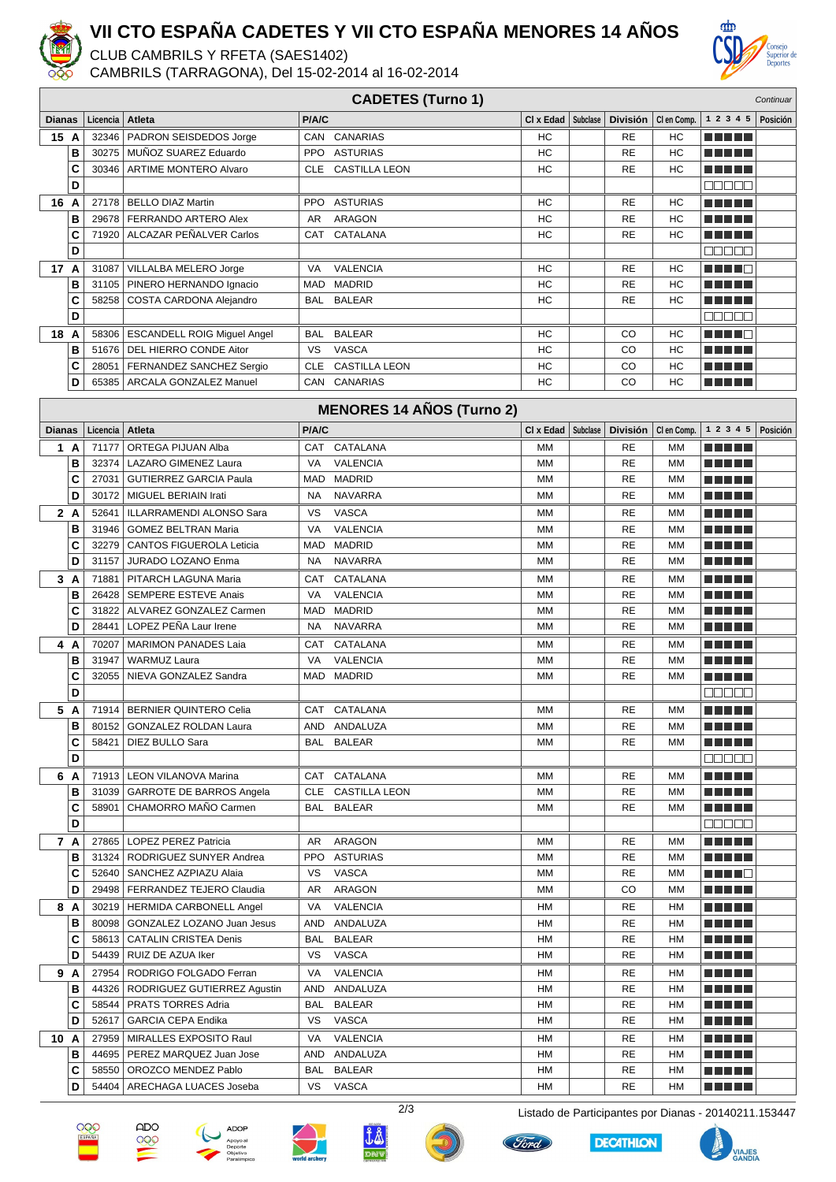

## **VII CTO ESPAÑA CADETES Y VII CTO ESPAÑA MENORES 14 AÑOS**

CLUB CAMBRILS Y RFETA (SAES1402)

CAMBRILS (TARRAGONA), Del 15-02-2014 al 16-02-2014



| <b>CADETES (Turno 1)</b><br>Continuar |        |                   |                                                 |              |                                  |                 |          |                       |                       |                                                             |          |
|---------------------------------------|--------|-------------------|-------------------------------------------------|--------------|----------------------------------|-----------------|----------|-----------------------|-----------------------|-------------------------------------------------------------|----------|
| Dianas                                |        | Licencia          | Atleta                                          | P/A/C        |                                  | $Cl x$ Edad     | Subclase |                       | División   Clen Comp. | 1 2 3 4 5                                                   | Posición |
| 15 A                                  |        | 32346             | PADRON SEISDEDOS Jorge                          | <b>CAN</b>   | CANARIAS                         | HC              |          | <b>RE</b>             | HC                    |                                                             |          |
|                                       | В      | 30275             | MUNOZ SUAREZ Eduardo                            | <b>PPO</b>   | <b>ASTURIAS</b>                  | HC              |          | <b>RE</b>             | HC                    | n din bir                                                   |          |
|                                       | C      | 30346             | <b>ARTIME MONTERO Alvaro</b>                    |              | CLE CASTILLA LEON                | HC              |          | <b>RE</b>             | <b>HC</b>             |                                                             |          |
|                                       | D      |                   |                                                 |              |                                  |                 |          |                       |                       | ooooo                                                       |          |
| 16 A                                  |        |                   | 27178   BELLO DIAZ Martin                       | PPO          | <b>ASTURIAS</b>                  | HC              |          | <b>RE</b>             | <b>HC</b>             | n din Film                                                  |          |
|                                       | B      | 29678             | FERRANDO ARTERO Alex                            | AR           | <b>ARAGON</b>                    | HC              |          | <b>RE</b>             | HC                    | ma matsa                                                    |          |
|                                       | C      | 71920             | ALCAZAR PEÑALVER Carlos                         | CAT          | CATALANA                         | НC              |          | RE                    | HC                    | .                                                           |          |
|                                       | D      |                   |                                                 |              |                                  |                 |          |                       |                       | anaa a                                                      |          |
| 17 A                                  |        | 31087             | VILLALBA MELERO Jorge                           | VA           | <b>VALENCIA</b>                  | НC              |          | RE                    | HC                    | n in Fin                                                    |          |
|                                       | B      | 31105             | PINERO HERNANDO Ignacio                         | <b>MAD</b>   | <b>MADRID</b>                    | HC              |          | <b>RE</b>             | HC                    | MA MD L                                                     |          |
|                                       | C      | 58258             | COSTA CARDONA Alejandro                         | <b>BAL</b>   | <b>BALEAR</b>                    | НC              |          | <b>RE</b>             | HC                    |                                                             |          |
|                                       | D      |                   |                                                 |              |                                  |                 |          |                       |                       | $\blacksquare$ $\blacksquare$ $\blacksquare$ $\blacksquare$ |          |
| 18 A                                  |        | 58306             | <b>ESCANDELL ROIG Miguel Angel</b>              | BAL          | <b>BALEAR</b>                    | HC              |          | CO                    | HC                    | MA NA MA                                                    |          |
|                                       | В      | 51676             | DEL HIERRO CONDE Aitor                          | <b>VS</b>    | <b>VASCA</b>                     | HC              |          | CO                    | HC                    | N FI EL                                                     |          |
|                                       | C      | 28051             | FERNANDEZ SANCHEZ Sergio                        | <b>CLE</b>   | <b>CASTILLA LEON</b>             | HC              |          | CO                    | HC                    | MA MD L                                                     |          |
|                                       | D      | 65385             | ARCALA GONZALEZ Manuel                          | CAN          | CANARIAS                         | HC              |          | CO                    | HC                    | MA MARI                                                     |          |
|                                       |        |                   |                                                 |              | <b>MENORES 14 AÑOS (Turno 2)</b> |                 |          |                       |                       |                                                             |          |
|                                       |        |                   | Atleta                                          |              |                                  |                 | Subclase |                       |                       | 1 2 3 4 5                                                   | Posición |
| <b>Dianas</b>                         | 1 A    | Licencia<br>71177 | ORTEGA PIJUAN Alba                              | P/A/C<br>CAT | CATALANA                         | CI x Edad<br>МM |          | <b>División</b><br>RE | CI en Comp.<br>МM     | n din ka                                                    |          |
|                                       | B      | 32374             | LAZARO GIMENEZ Laura                            | VA           | <b>VALENCIA</b>                  | <b>MM</b>       |          | <b>RE</b>             | MM                    | .                                                           |          |
|                                       | C      | 27031             | <b>GUTIERREZ GARCIA Paula</b>                   | MAD          | <b>MADRID</b>                    | <b>MM</b>       |          | <b>RE</b>             | MM                    | n di Titolo                                                 |          |
|                                       | D      | 30172             | MIGUEL BERIAIN Irati                            | <b>NA</b>    | <b>NAVARRA</b>                   | MM              |          | <b>RE</b>             | МM                    |                                                             |          |
|                                       | 2A     | 52641             | ILLARRAMENDI ALONSO Sara                        | VS           | <b>VASCA</b>                     | MM              |          | RE                    | МM                    | MA MD L                                                     |          |
|                                       | B      | 31946             | <b>GOMEZ BELTRAN Maria</b>                      | VA           | <b>VALENCIA</b>                  | MM              |          | <b>RE</b>             | МM                    | TN DE                                                       |          |
|                                       | C      | 32279             | <b>CANTOS FIGUEROLA Leticia</b>                 | MAD          | <b>MADRID</b>                    | MM              |          | <b>RE</b>             | МM                    | mini pia                                                    |          |
|                                       | D      | 31157             | JURADO LOZANO Enma                              | <b>NA</b>    | <b>NAVARRA</b>                   | MM              |          | <b>RE</b>             | MM                    |                                                             |          |
|                                       | 3A     | 71881             | PITARCH LAGUNA Maria                            | <b>CAT</b>   | CATALANA                         | MM              |          | <b>RE</b>             | МM                    | ma matsa                                                    |          |
|                                       | В      | 26428             | <b>SEMPERE ESTEVE Anais</b>                     | VA           | <b>VALENCIA</b>                  | MM              |          | <b>RE</b>             | MM                    | M TI DI L                                                   |          |
|                                       | C      | 31822             | ALVAREZ GONZALEZ Carmen                         | MAD          | MADRID                           | <b>MM</b>       |          | <b>RE</b>             | MM                    | n Ali De                                                    |          |
|                                       | D      | 28441             | LOPEZ PEÑA Laur Irene                           | <b>NA</b>    | <b>NAVARRA</b>                   | <b>MM</b>       |          | <b>RE</b>             | MM                    | n din ka                                                    |          |
|                                       | 4 A    | 70207             | <b>MARIMON PANADES Laia</b>                     | <b>CAT</b>   | CATALANA                         | MM              |          | RE                    | МM                    | MA MPLE                                                     |          |
|                                       | B      | 31947             | <b>WARMUZ Laura</b>                             | VA           | <b>VALENCIA</b>                  | МM              |          | <b>RE</b>             | MM                    | MA MD L                                                     |          |
|                                       | C      | 32055             | NIEVA GONZALEZ Sandra                           | MAD          | <b>MADRID</b>                    | МM              |          | <b>RE</b>             | МM                    | n din bir                                                   |          |
|                                       | D      |                   |                                                 |              |                                  |                 |          |                       |                       | Maaa a                                                      |          |
|                                       | 5 A    |                   | 71914   BERNIER QUINTERO Celia                  |              | CAT CATALANA                     | MМ              |          | <b>RE</b>             | МM                    | n di Titolo                                                 |          |
|                                       | в      |                   | 80152 GONZALEZ ROLDAN Laura                     |              | AND ANDALUZA                     | МM              |          | RE                    | MМ                    | a da da                                                     |          |
|                                       | C      | 58421             | DIEZ BULLO Sara                                 |              | BAL BALEAR                       | <b>MM</b>       |          | RE                    | MМ                    | ma matsa                                                    |          |
|                                       | D      |                   |                                                 |              |                                  |                 |          |                       |                       | 88888                                                       |          |
|                                       | 6 A    |                   | 71913   LEON VILANOVA Marina                    |              | CAT CATALANA                     | MМ              |          | RE                    | МM                    | n na ma                                                     |          |
|                                       | в      |                   | 31039 GARROTE DE BARROS Angela                  |              | CLE CASTILLA LEON                | MM              |          | <b>RE</b>             | МM                    | <u> Literatur</u>                                           |          |
|                                       | C      | 58901             | CHAMORRO MAÑO Carmen                            |              | BAL BALEAR                       | MM              |          | <b>RE</b>             | MM                    | <u> El El El </u>                                           |          |
|                                       | D      |                   |                                                 |              |                                  |                 |          |                       |                       | eeeee                                                       |          |
|                                       | 7 A    |                   | 27865   LOPEZ PEREZ Patricia                    | AR           | ARAGON                           | MМ              |          | RE                    | МM                    | <u> El El El </u>                                           |          |
|                                       | В      |                   | 31324   RODRIGUEZ SUNYER Andrea                 |              | PPO ASTURIAS                     | MM              |          | RE                    | МM                    | <u> El El E</u> le                                          |          |
|                                       | C      |                   | 52640   SANCHEZ AZPIAZU Alaia                   | VS           | <b>VASCA</b>                     | <b>MM</b>       |          | <b>RE</b>             | МM                    | <u> Literatur</u>                                           |          |
|                                       | D      | 29498             | FERRANDEZ TEJERO Claudia                        | AR           | <b>ARAGON</b>                    | <b>MM</b>       |          | CO                    | MM                    | <u> El Biblio</u>                                           |          |
|                                       | 8 A    |                   | 30219   HERMIDA CARBONELL Angel                 | VA           | <b>VALENCIA</b>                  | HM              |          | RE                    | HM                    | <u> Literatur</u>                                           |          |
|                                       | в      |                   | 80098   GONZALEZ LOZANO Juan Jesus              |              | AND ANDALUZA                     | HM              |          | RE                    | HM                    | ma matsa                                                    |          |
|                                       | c      | 58613             | CATALIN CRISTEA Denis                           | BAL          | <b>BALEAR</b>                    | HM              |          | <b>RE</b>             | HM                    | <u> Literatur</u>                                           |          |
|                                       | D      | 54439             | RUIZ DE AZUA Iker                               | VS           | <b>VASCA</b>                     | HM              |          | <b>RE</b>             | HM                    | <u> El El E</u> le                                          |          |
|                                       | 9 A    | 27954             | RODRIGO FOLGADO Ferran                          | VA           | VALENCIA                         | HM              |          | RE                    | HM                    | <u> Literatur</u>                                           |          |
|                                       | в      | 44326             | RODRIGUEZ GUTIERREZ Agustin                     |              | AND ANDALUZA                     | HM              |          | <b>RE</b>             | HM                    | <u> El El E</u> le                                          |          |
|                                       | C<br>D | 58544<br>52617    | PRATS TORRES Adria<br><b>GARCIA CEPA Endika</b> | BAL<br>VS    | <b>BALEAR</b><br>VASCA           | HM<br>HM        |          | RE<br><b>RE</b>       | HM<br>HM              | <u> El El E</u> l                                           |          |
|                                       |        |                   |                                                 |              |                                  |                 |          |                       |                       | <u> E E E E E</u>                                           |          |
| 10 A                                  |        | 44695             | 27959   MIRALLES EXPOSITO Raul                  | VA           | <b>VALENCIA</b><br>ANDALUZA      | HM              |          | RE                    | HM                    | n na m                                                      |          |
|                                       | в<br>c | 58550             | PEREZ MARQUEZ Juan Jose<br>OROZCO MENDEZ Pablo  | AND<br>BAL   | <b>BALEAR</b>                    | HM<br>HM        |          | RE<br>RE              | HM<br>HM              | <u> El El E</u> l                                           |          |
|                                       | D      | 54404             | ARECHAGA LUACES Joseba                          | VS           | VASCA                            | HM              |          | <b>RE</b>             | HM                    | <u> El El El </u>                                           |          |















VIAJES<br>GANDIA